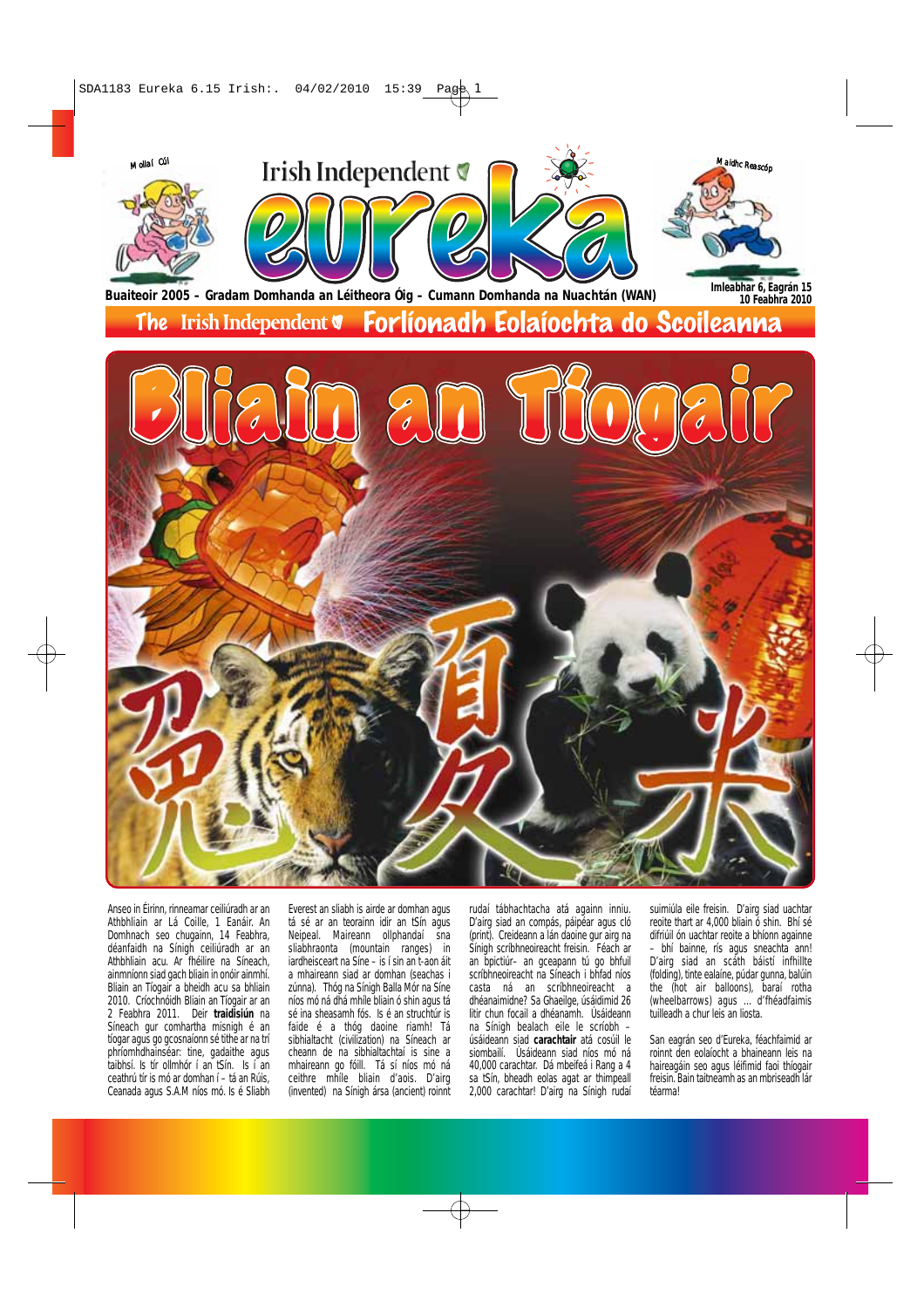

Anseo in Éirinn, rinneamar ceiliúradh ar an Athbhliain ar Lá Coille, 1 Eanáir. An Domhnach seo chugainn, 14 Feabhra, déanfaidh na Sínigh ceiliúradh ar an Athbhliain acu. Ar fhéilire na Síneach, ainmníonn siad gach bliain in onóir ainmhí. Bliain an Tíogair a bheidh acu sa bhliain 2010. Críochnóidh Bliain an Tíogair ar an 2 Feabhra 2011. Deir **traidisiún** na Síneach gur comhartha misnigh é an tíogar agus go gcosnaíonn sé tithe ar na trí phríomhdhainséar: tine, gadaithe agus taibhsí. Is tír ollmhór í an tSín. Is í an ceathrú tír is mó ar domhan í – tá an Rúis, Ceanada agus S.A.M níos mó. Is é Sliabh

Everest an sliabh is airde ar domhan agus tá sé ar an teorainn idir an tSín agus Neipeal. Maireann ollphandaí sna sliabhraonta (mountain ranges) in iardheisceart na Síne - is í sin an t-aon áit a mhaireann siad ar domhan (seachas i zúnna). Thóg na Sínigh Balla Mór na Síne níos mó ná dhá mhíle bliain ó shin agus tá sé ina sheasamh fós. Is é an struchtúr is faide é a thóg daoine riamh! Tá sibhialtacht (civilization) na Síneach ar cheann de na sibhialtachtaí is sine a mhaireann go fóill. Tá sí níos mó ná ceithre mhíle bliain d'aois. D'airg (invented) na Sínigh ársa (ancient) roinnt rudaí tábhachtacha atá againn inniu. D'airg siad an compás, páipéar agus cló (print). Creideann a lán daoine gur airg na Sínigh scríbhneoireacht freisin. Féach ar an bpictiúr– an gceapann tú go bhfuil scríbhneoireacht na Síneach i bhfad níos casta ná an scríbhneoireacht a dhéanaimidne? Sa Ghaeilge, úsáidimid 26 litir chun focail a dhéanamh. Úsáideann na Sínigh bealach eile le scríobh – úsáideann siad **carachtair** atá cosúil le siombailí. Úsáideann siad níos mó ná 40,000 carachtar. Dá mbeifeá i Rang a 4 sa tSín, bheadh eolas agat ar thimpeall 2,000 carachtar! D'airg na Sínigh rudaí

suimiúla eile freisin. D'airg siad uachtar reoite thart ar 4,000 bliain ó shin. Bhí sé difriúil ón uachtar reoite a bhíonn againne – bhí bainne, rís agus sneachta ann! D'airg siad an scáth báistí infhillte (folding), tinte ealaíne, púdar gunna, balúin the (hot air balloons), baraí rotha (wheelbarrows) agus ... d'fhéadfaimis tuilleadh a chur leis an liosta.

San eagrán seo d'Eureka, féachfaimid ar roinnt den eolaíocht a bhaineann leis na haireagáin seo agus léifimid faoi thíogair freisin. Bain taitneamh as an mbriseadh lár téarma!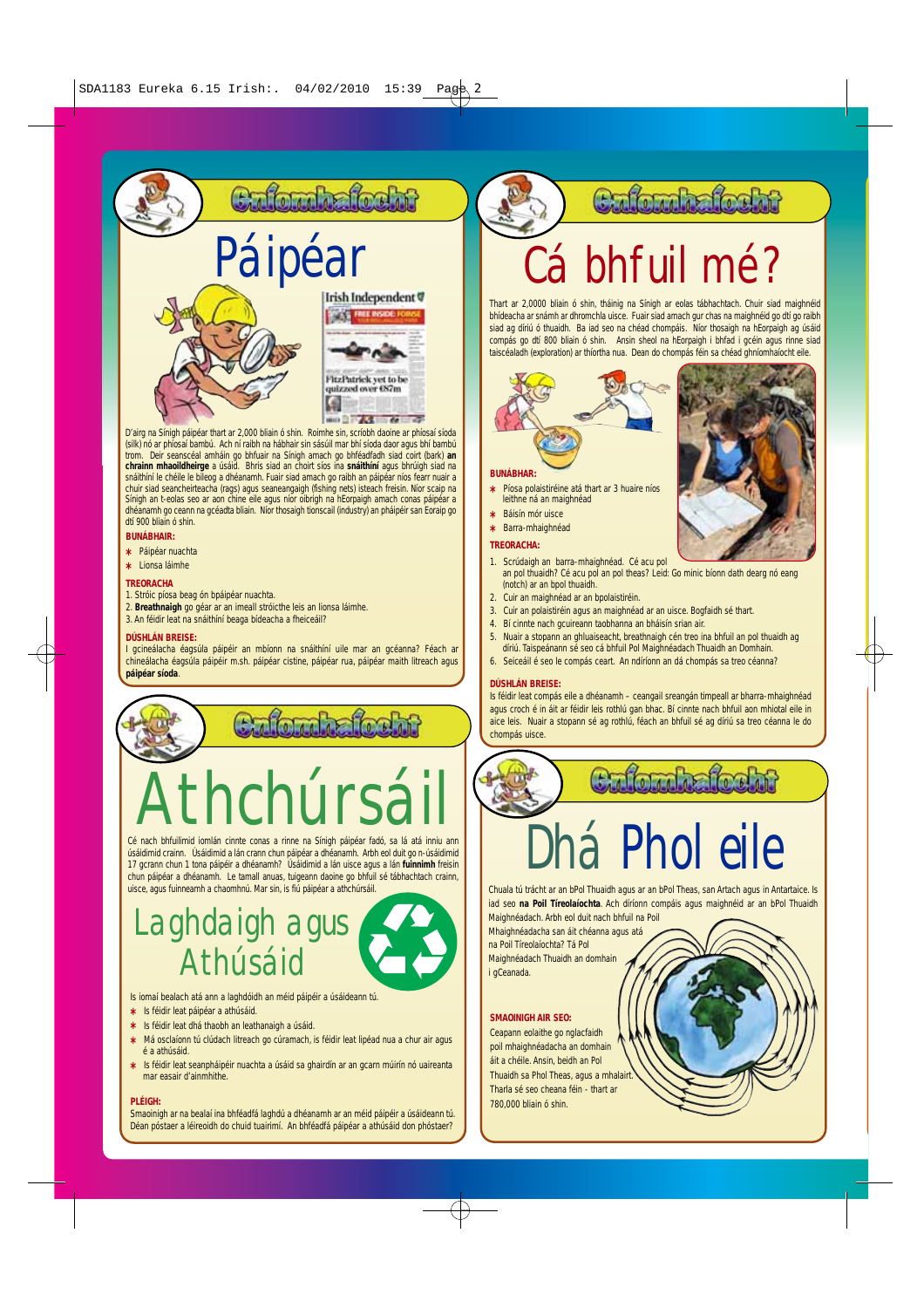### Culturhafteht





G  $-367$ 

D'airg na Sínigh páipéar thart ar 2,000 bliain ó shin. Roimhe sin, scríobh daoine ar phíosaí síoda (silk) nó ar phíosaí bambú. Ach ní raibh na hábhair sin sásúil mar bhí síoda daor agus bhí bambú trom. Deir seanscéal amháin go bhfuair na Sínigh amach go bhféadfadh siad coirt (bark) **an chrainn mhaoildheirge** a úsáid. Bhris siad an choirt síos ina **snáithíní** agus bhrúigh siad na snáithíní le chéile le bileog a dhéanamh. Fuair siad amach go raibh an páipéar níos fearr nuair a chuir siad seancheirteacha (rags) agus seaneangaigh (fishing nets) isteach freisin. Níor scaip na Sínigh an t-eolas seo ar aon chine eile agus níor oibrigh na hEorpaigh amach conas páipéar a dhéanamh go ceann na gcéadta bliain. Níor thosaigh tionscail (industry) an pháipéir san Eoraip go dtí 900 bliain ó shin.

#### **BUNÁBHAIR:**

- **\*** Páipéar nuachta
- **\*** Lionsa láimhe

#### **TREORACHA**

- 1. Stróic píosa beag ón bpáipéar nuachta.
- 2. **Breathnaigh** go géar ar an imeall stróicthe leis an lionsa láimhe.<br>3. An féidir leat na snáithíní beaga bídeacha a fheiceáil?

#### **DÚSHLÁN BREISE:**

I gcineálacha éagsúla páipéir an mbíonn na snáithíní uile mar an gcéanna? Féach ar chineálacha éagsúla páipéir m.sh. páipéar cistine, páipéar rua, páipéar maith litreach agus **páipéar síoda**.

### Culombalo

# Athchúrsáil

Cé nach bhfuilimid iomlán cinnte conas a rinne na Sínigh páipéar fadó, sa lá atá inniu ann úsáidimid crainn. Úsáidimid a lán crann chun páipéar a dhéanamh. Arbh eol duit go n-úsáidimid 17 gcrann chun 1 tona páipéir a dhéanamh? Úsáidimid a lán uisce agus a lán **fuinnimh** freisin chun páipéar a dhéanamh. Le tamall anuas, tuigeann daoine go bhfuil sé tábhachtach crainn, uisce, agus fuinneamh a chaomhnú. Mar sin, is fiú páipéar a athchúrsáil.

## Laghdaigh agus Athúsáid

Is iomaí bealach atá ann a laghdóidh an méid páipéir a úsáideann tú.

- **\*** Is féidir leat páipéar a athúsáid.
- **\*** Is féidir leat dhá thaobh an leathanaigh a úsáid.
- **\*** Má osclaíonn tú clúdach litreach go cúramach, is féidir leat lipéad nua a chur air agus é a athúsáid.
- **\*** Is féidir leat seanpháipéir nuachta a úsáid sa ghairdín ar an gcarn múirín nó uaireanta mar easair d'ainmhithe

#### **PLÉIGH:**

Smaoinigh ar na bealaí ina bhféadfá laghdú a dhéanamh ar an méid páipéir a úsáideann tú. Déan póstaer a léireoidh do chuid tuairimí. An bhféadfá páipéar a athúsáid don phóstaer?

### Cafondedosht

## Páipéar Cá bhfuil mé?

Thart ar 2,0000 bliain ó shin, tháinig na Sínigh ar eolas tábhachtach. Chuir siad maighnéid bhídeacha ar snámh ar dhromchla uisce. Fuair siad amach gur chas na maighnéid go dtí go raibh siad ag díriú ó thuaidh. Ba iad seo na chéad chompáis. Níor thosaigh na hEorpaigh ag úsáid compás go dtí 800 bliain ó shin. Ansin sheol na hEorpaigh i bhfad i gcéin agus rinne siad taiscéaladh (exploration) ar thíortha nua. Dean do chompás féin sa chéad ghníomhaíocht eile.

#### **BUNÁBHAR:**

**\*** Píosa polaistiréine atá thart ar 3 huaire níos leithne ná an maighnéad **\*** Báisín mór uisce

**\*** Barra-mhaighnéad

#### **TREORACHA:**

#### 1. Scrúdaigh an barra-mhaighnéad. Cé acu pol an pol thuaidh? Cé acu pol an pol theas? Leid: Go minic bíonn dath dearg nó eang (notch) ar an bpol thuaidh.

- 2. Cuir an maighnéad ar an bpolaistiréin.
- 3. Cuir an polaistiréin agus an maighnéad ar an uisce. Bogfaidh sé thart.
- 4. Bí cinnte nach gcuireann taobhanna an bháisín srian air.
- 5. Nuair a stopann an ghluaiseacht, breathnaigh cén treo ina bhfuil an pol thuaidh ag díriú. Taispeánann sé seo cá bhfuil Pol Maighnéadach Thuaidh an Domhain.
- 6. Seiceáil é seo le compás ceart. An ndíríonn an dá chompás sa treo céanna?

#### **DÚSHLÁN BREISE:**

Is féidir leat compás eile a dhéanamh – ceangail sreangán timpeall ar bharra-mhaighnéad agus croch é in áit ar féidir leis rothlú gan bhac. Bí cinnte nach bhfuil aon mhiotal eile in aice leis. Nuair a stopann sé ag rothlú, féach an bhfuil sé ag díriú sa treo céanna le do chompás uisce.



## **Phol eil**

Chuala tú trácht ar an bPol Thuaidh agus ar an bPol Theas, san Artach agus in Antartaice. Is iad seo **na Poil Tíreolaíochta**. Ach díríonn compáis agus maighnéid ar an bPol Thuaidh

Mhaighnéadacha san áit chéanna agus atá na Poil Tíreolaíochta? Tá Pol i gCeanada.

#### **SMAOINIGH AIR SEO:**

Ceapann eolaithe go nglacfaidh poil mhaighnéadacha an domhain áit a chéile. Ansin, beidh an Pol Thuaidh sa Phol Theas, agus a mhalair Tharla sé seo cheana féin - thart ar 780,000 bliain ó shin.



Cufombafocht

Maighnéadach. Arbh eol duit nach bhfuil na Poil

Maighnéadach Thuaidh an domhain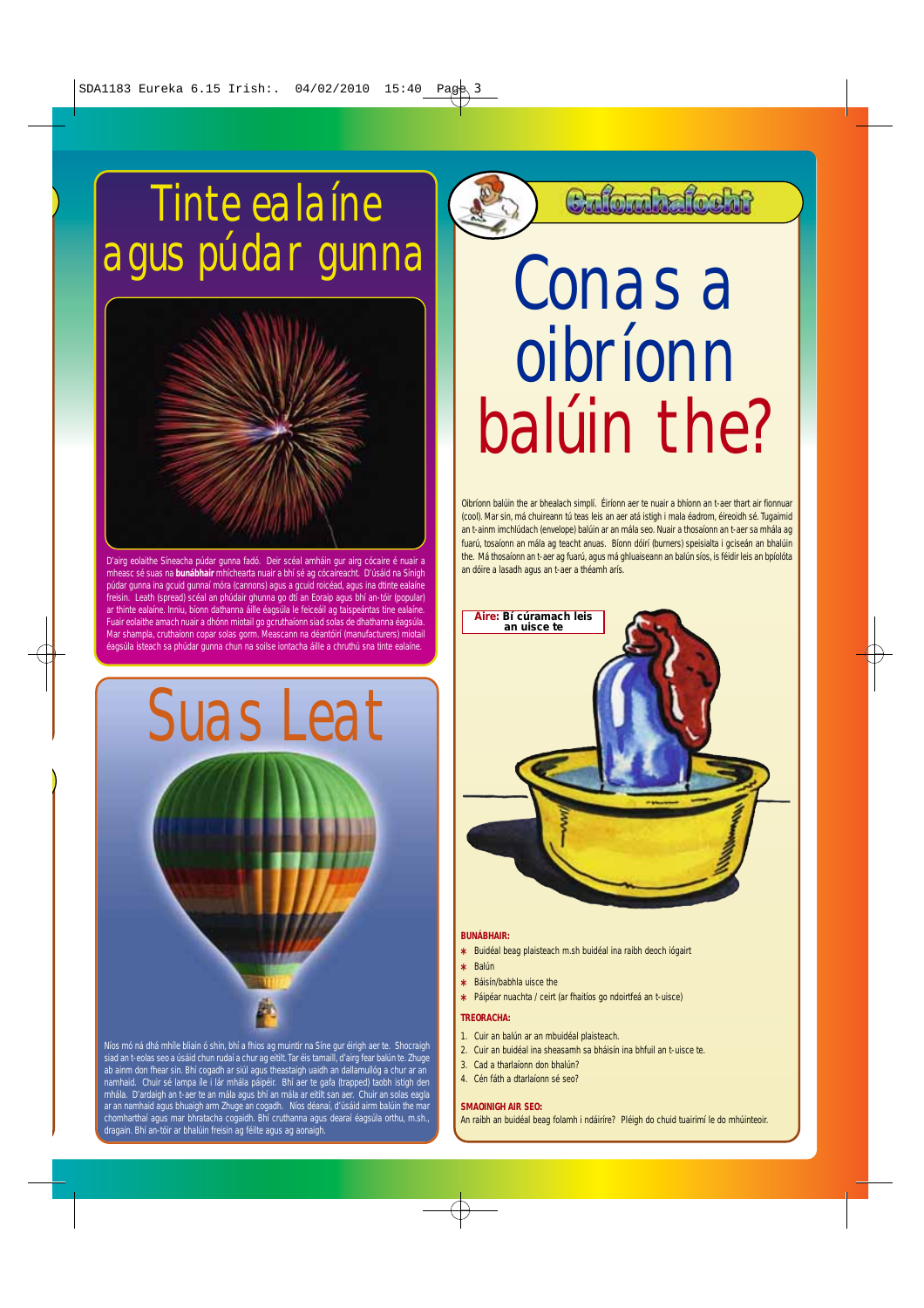## Tinte ealaíne agus púdar gunna



D'airg eolaithe Síneacha púdar gunna fadó. Deir scéal amháin gur airg cócaire é nuair a -<br>asc sé suas na **bunábhair** mhíchearta nuair a bhí sé ag cócaireacht. D'úsáid na Sínigh púdar gunna ina gcuid gunnaí móra (cannons) agus a gcuid roicéad, agus ina dtinte ealaíne freisin. Leath (spread) scéal an phúdair ghunna go dtí an Eoraip agus bhí an-tóir (popular) ar thinte ealaíne. Inniu, bíonn dathanna áille éagsúla le feiceáil ag taispeántas tine ealaíne Fuair eolaithe amach nuair a dhónn miotail go gcruthaíonn siad solas de dhathanna éagsúla. Mar shampla, cruthaíonn copar solas gorm. Meascann na déantóirí (manufacturers) miotail éagsúla isteach sa phúdar gunna chun na soilse iontacha áille a chruthú sna tinte ealaíne.



siad an t-eolas seo a úsáid chun rudaí a chur ag eitilt. Tar éis tamaill, d'airg fear balún te. Zhuge ab ainm don fhear sin. Bhí cogadh ar siúl agus theastaigh uaidh an dallamullóg a chur ar an<br>namhaid. Chuir sé lampa íle i lár mhála páipéir. Bhí aer te gafa (trapped) taobh istigh den<br>mhála. D'ardaigh an t-aer te an mál ar an namhaid agus bhuaigh arm Zhuge an cogadh. Níos déanaí, d'úsáid airm balúin the mar chomharthaí agus mar bhratacha cogaidh. Bhí cruthanna agus dearaí éagsúla orthu, m.sh., dragain. Bhí an-tóir ar bhalúin freisin ag féilte agus ag aonaigh.

Culturhafteht

## Conas a oibríonn balúin the?

Oibríonn balúin the ar bhealach simplí. Éiríonn aer te nuair a bhíonn an t-aer thart air fionnuar (cool). Mar sin, má chuireann tú teas leis an aer atá istigh i mala éadrom, éireoidh sé. Tugaimid an t-ainm imchlúdach (envelope) balúin ar an mála seo. Nuair a thosaíonn an t-aer sa mhála ag fuarú, tosaíonn an mála ag teacht anuas. Bíonn dóirí (burners) speisialta i gciseán an bhalúin the. Má thosaíonn an t-aer ag fuarú, agus má ghluaiseann an balún síos, is féidir leis an bpíolóta an dóire a lasadh agus an t-aer a théamh arís.



#### **BUNÁBHAIR:**

- **\*** Buidéal beag plaisteach m.sh buidéal ina raibh deoch iógairt
- **\*** Balún
- **\*** Báisín/babhla uisce the
- **\*** Páipéar nuachta / ceirt (ar fhaitíos go ndoirtfeá an t-uisce)

#### **TREORACHA:**

- 1. Cuir an balún ar an mbuidéal plaisteach.
- 2. Cuir an buidéal ina sheasamh sa bháisín ina bhfuil an t-uisce te.
- 3. Cad a tharlaíonn don bhalún?
- 4. Cén fáth a dtarlaíonn sé seo?

#### **SMAOINIGH AIR SEO:**

An raibh an buidéal beag folamh i ndáiríre? Pléigh do chuid tuairimí le do mhúinteoir.